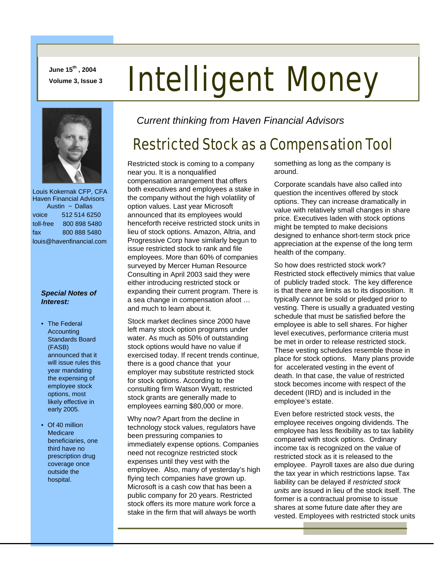**June 15th , 2004** 

# **June 15", 2004 Intelligent Money**



 Louis Kokernak CFP, CFA Haven Financial Advisors Austin  $\sim$  Dallas voice 512 514 6250 toll-free 800 898 5480 fax 800 888 5480 louis@havenfinancial.com

#### *Special Notes of Interest:*

- The Federal **Accounting** Standards Board (FASB) announced that it will issue rules this year mandating the expensing of employee stock options, most likely effective in early 2005.
- Of 40 million **Medicare** beneficiaries, one third have no prescription drug coverage once outside the hospital.

*Current thinking from Haven Financial Advisors* 

# Restricted Stock as a Compensation Tool

Restricted stock is coming to a company near you. It is a nonqualified compensation arrangement that offers both executives and employees a stake in the company without the high volatility of option values. Last year Microsoft announced that its employees would henceforth receive restricted stock units in lieu of stock options. Amazon, Altria, and Progressive Corp have similarly begun to issue restricted stock to rank and file employees. More than 60% of companies surveyed by Mercer Human Resource Consulting in April 2003 said they were either introducing restricted stock or expanding their current program. There is a sea change in compensation afoot … and much to learn about it.

Stock market declines since 2000 have left many stock option programs under water. As much as 50% of outstanding stock options would have no value if exercised today. If recent trends continue, there is a good chance that your employer may substitute restricted stock for stock options. According to the consulting firm Watson Wyatt, restricted stock grants are generally made to employees earning \$80,000 or more.

Why now? Apart from the decline in technology stock values, regulators have been pressuring companies to immediately expense options. Companies need not recognize restricted stock expenses until they vest with the employee. Also, many of yesterday's high flying tech companies have grown up. Microsoft is a cash cow that has been a public company for 20 years. Restricted stock offers its more mature work force a stake in the firm that will always be worth

something as long as the company is around.

Corporate scandals have also called into question the incentives offered by stock options. They can increase dramatically in value with relatively small changes in share price. Executives laden with stock options might be tempted to make decisions designed to enhance short-term stock price appreciation at the expense of the long term health of the company.

So how does restricted stock work? Restricted stock effectively mimics that value of publicly traded stock. The key difference is that there are limits as to its disposition. It typically cannot be sold or pledged prior to vesting. There is usually a graduated vesting schedule that must be satisfied before the employee is able to sell shares. For higher level executives, performance criteria must be met in order to release restricted stock. These vesting schedules resemble those in place for stock options. Many plans provide for accelerated vesting in the event of death. In that case, the value of restricted stock becomes income with respect of the decedent (IRD) and is included in the employee's estate.

Even before restricted stock vests, the employee receives ongoing dividends. The employee has less flexibility as to tax liability compared with stock options. Ordinary income tax is recognized on the value of restricted stock as it is released to the employee. Payroll taxes are also due during the tax year in which restrictions lapse. Tax liability can be delayed if *restricted stock units* are issued in lieu of the stock itself. The former is a contractual promise to issue shares at some future date after they are vested. Employees with restricted stock units